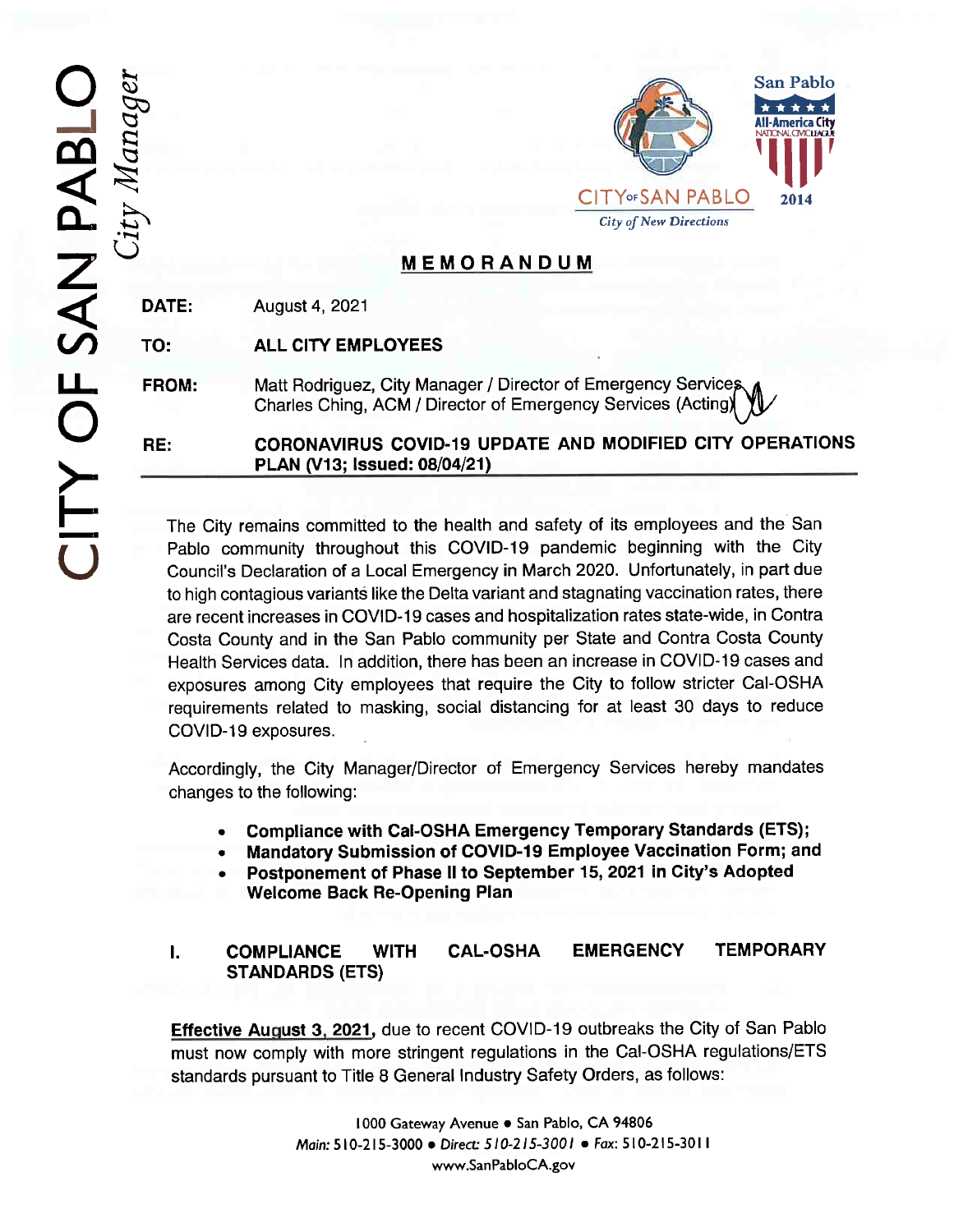

## **MEMORANDUM**

DATE: August 4, 2021

TO: ALL CITY EMPLOYEES

FROM Matt Rodriguez, City Manager / Director of Emergency Services Charles Ching, ACM / Director of Emergency Services (Acting)

CORONAVIRUS COVID-19 UPDATE AND MODIFIED CITY OPERATIONS PLAN (V13; Issued: 08/04/21) RE

The City remains committed to the health and safety of its employees and the San Pablo community throughout this COVID-19 pandemic beginning with the City Council's Declaration of a Local Emergency in March 2020. Unfortunately, in part due to high contagious variants like the Delta variant and stagnating vaccination rates, there are recent increases in COVID-19 cases and hospitalization rates state-wide, in Contra Costa County and in the San Pablo community per State and Contra Costa County Health Services data. In addition, there has been an increase in COVID-19 cases and exposures among City employees that require the City to follow stricter Cal-OSHA requirements related to masking, social distancing for at least 30 days to reduce COVID-19 exposures.

Accordingly, the City Manager/Director of Emergency Services hereby mandates changes to the following:

- 8 Compliance with Cal-OSHA Emergency Temporary Standards(ETS);
- e Mandatory Submission of COVID-19 Employee Vaccination Form; and
- © Postponement of Phase ll to September 15, 2021 in City's Adopted Welcome Back Re-Opening Plan

## $\mathbf{l}$ . CAL-OSHA EMERGENCY TEMPORARY COMPLIANCE WITH STANDARDS(ETS)

Effective August 3, 2021, due to recent COVID-19 outbreaks the City of San Pablo must now comply with more stringent regulations in the Cal-OSHA regulations/ETS standards pursuant to Title 8 General Industry Safety Orders. as follows:

> 1 000 Gateway Avenue e San Pablo, CA 94806 Main: 5 10-215-3000 e Direct 5/0-2/5-300/ e Fax: 510-215-301 1 www.SanPabloCA.gov

 $\mathcal{E}$  $\partial \bar{D}$ q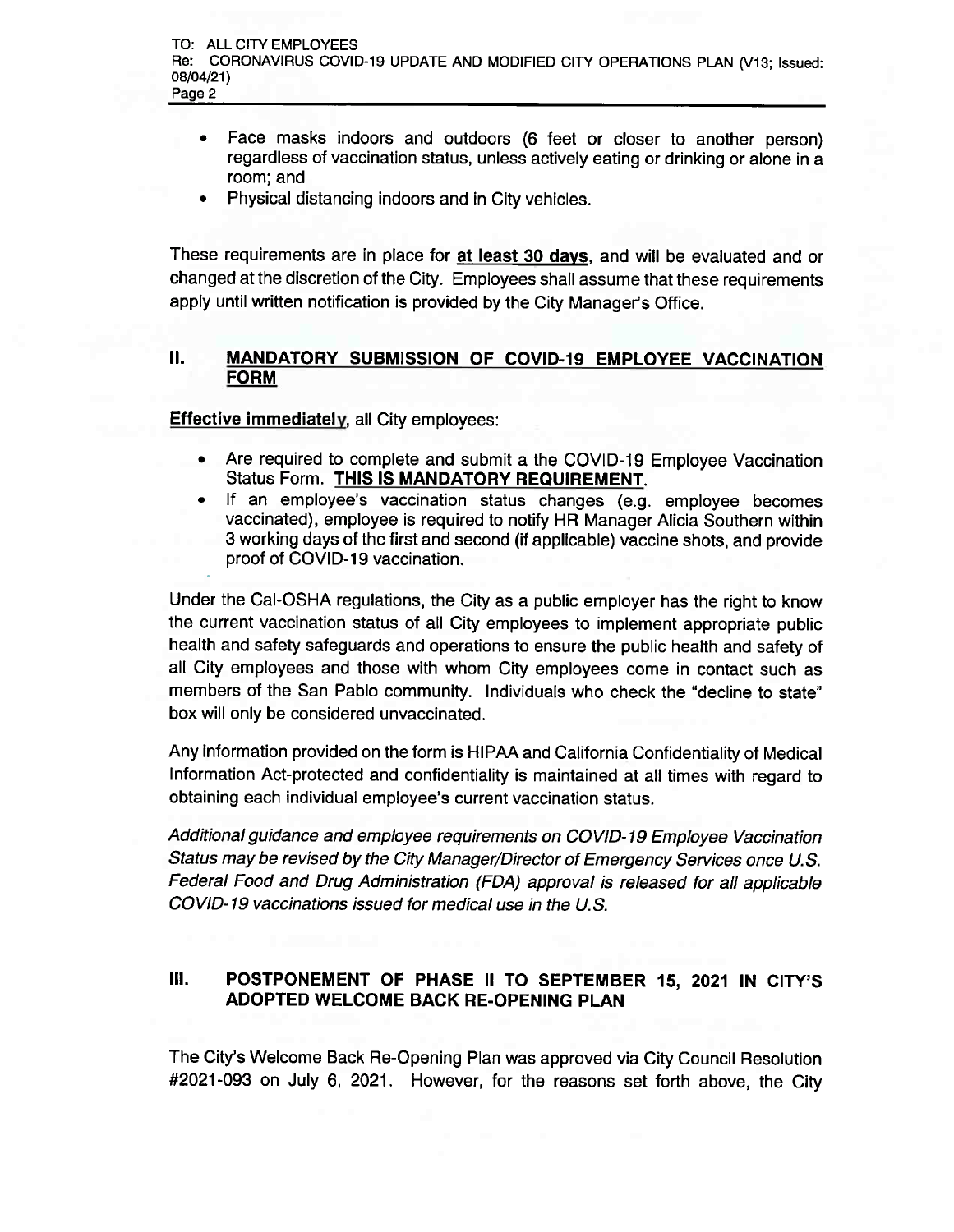- . Face masks indoors and outdoors (6 feet or closer to another person) regardless of vaccination status, unless actively eating or drinking or alone in a room; and
- . Physical distancing indoors and in City vehicles.

These requirements are in place for at least 30 days, and will be evaluated and or changed at the discretion of the City. Employees shall assume that these requirements apply until written notification is provided by the City Manager's Office.

## II. MANDATORY SUBMISSION OF COVID-19 EMPLOYEE VACCINATION FORM

Effective immediately, all City employees:

- $\bullet$ Are required to complete and submit a the COVID-19 Employee Vaccination Status Form. THIS IS MANDATORY REQUIREMENT.
- © If an employee's vaccination status changes (e.g. employee becomes vaccinated), employee is required to notify HR Manager Alicia Southern within 3 working days of the first and second (if applicable) vaccine shots. and provide proof of COVID-19 vaccination.

Under the Cal-OSHA regulations, the City as a public employer has the right to know the current vaccination status of all City employees to implement appropriate public health and safety safeguards and operations to ensure the public health and safety of all City employees and those with whom City employees come in contact such as members of the San Pablo community. Individuals who check the "decline to state" box will only be considered unvaccinated.

Any information provided on the form is HIPAA and California Confidentiality of Medical Information Act-protected and confidentiality is maintained at all times with regard to obtaining each individual employee's current vaccination status.

Additional guidance and employee requirements on COVID- 19 Employee Vaccination Status maybe revised by the City Manager/Director of Emergency Services once U.S. Federal Food and Drug Administration (FDA) approval is released for all applicable COVID- 19 vaccinations issued for medical use in the U.S.

## III. POSTPONEMENT OF PHASE II TO SEPTEMBER 15, 2021 IN CITY'S ADOPTED WELCOME BACK RE-OPENING PLAN

The City's Welcome Back Re-Opening Plan was approved via City Council Resolution #2021-093 on July 6, 2021. However, for the reasons set forth above, the City